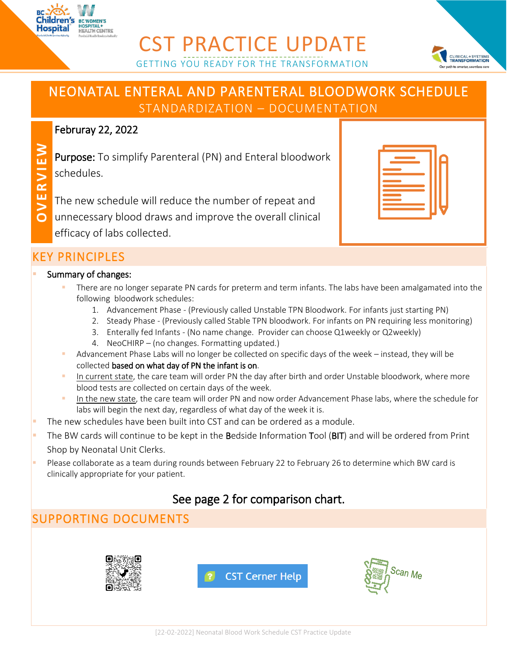

## CST PRACTICE UPDATE GETTING YOU READY FOR THE TRANSFORMATION



## NEONATAL ENTERAL AND PARENTERAL BLOODWORK SCHEDULE STANDARDIZATION – DOCUMENTATION

#### Februray 22, 2022

Purpose: To simplify Parenteral (PN) and Enteral bloodwork schedules.

- The new schedule will reduce the number of repeat and
- **OV ERVIEW** unnecessary blood draws and improve the overall clinical
	- efficacy of labs collected.

### KEY PRINCIPLES

#### **Summary of changes:**

- There are no longer separate PN cards for preterm and term infants. The labs have been amalgamated into the following bloodwork schedules:
	- 1. Advancement Phase (Previously called Unstable TPN Bloodwork. For infants just starting PN)
	- 2. Steady Phase (Previously called Stable TPN bloodwork. For infants on PN requiring less monitoring)
	- 3. Enterally fed Infants (No name change. Provider can choose Q1weekly or Q2weekly)
	- 4. NeoCHIRP (no changes. Formatting updated.)
- Advancement Phase Labs will no longer be collected on specific days of the week instead, they will be collected based on what day of PN the infant is on.
- In current state, the care team will order PN the day after birth and order Unstable bloodwork, where more blood tests are collected on certain days of the week.
- In the new state, the care team will order PN and now order Advancement Phase labs, where the schedule for labs will begin the next day, regardless of what day of the week it is.
- The new schedules have been built into CST and can be ordered as a module.
- The BW cards will continue to be kept in the Bedside Information Tool (BIT) and will be ordered from Print Shop by Neonatal Unit Clerks.
- Please collaborate as a team during rounds between February 22 to February 26 to determine which BW card is clinically appropriate for your patient.

## See page 2 for comparison chart.

# SUPPORTING DOCUMENTS



**CST Cerner Help**